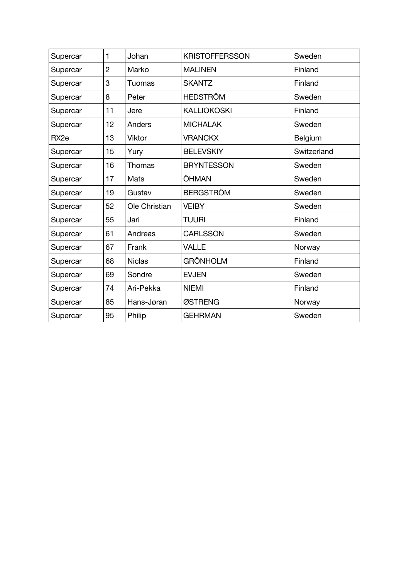| Supercar         | 1              | Johan         | <b>KRISTOFFERSSON</b> | Sweden      |
|------------------|----------------|---------------|-----------------------|-------------|
| Supercar         | $\overline{c}$ | Marko         | <b>MALINEN</b>        | Finland     |
| Supercar         | 3              | <b>Tuomas</b> | <b>SKANTZ</b>         | Finland     |
| Supercar         | 8              | Peter         | <b>HEDSTRÖM</b>       | Sweden      |
| Supercar         | 11             | Jere          | <b>KALLIOKOSKI</b>    | Finland     |
| Supercar         | 12             | Anders        | <b>MICHALAK</b>       | Sweden      |
| RX <sub>2e</sub> | 13             | Viktor        | <b>VRANCKX</b>        | Belgium     |
| Supercar         | 15             | Yury          | <b>BELEVSKIY</b>      | Switzerland |
| Supercar         | 16             | Thomas        | <b>BRYNTESSON</b>     | Sweden      |
| Supercar         | 17             | Mats          | ÖHMAN                 | Sweden      |
| Supercar         | 19             | Gustav        | <b>BERGSTRÖM</b>      | Sweden      |
| Supercar         | 52             | Ole Christian | <b>VEIBY</b>          | Sweden      |
| Supercar         | 55             | Jari          | <b>TUURI</b>          | Finland     |
| Supercar         | 61             | Andreas       | <b>CARLSSON</b>       | Sweden      |
| Supercar         | 67             | Frank         | <b>VALLE</b>          | Norway      |
| Supercar         | 68             | <b>Niclas</b> | <b>GRÖNHOLM</b>       | Finland     |
| Supercar         | 69             | Sondre        | <b>EVJEN</b>          | Sweden      |
| Supercar         | 74             | Ari-Pekka     | <b>NIEMI</b>          | Finland     |
| Supercar         | 85             | Hans-Jøran    | ØSTRENG               | Norway      |
| Supercar         | 95             | Philip        | <b>GEHRMAN</b>        | Sweden      |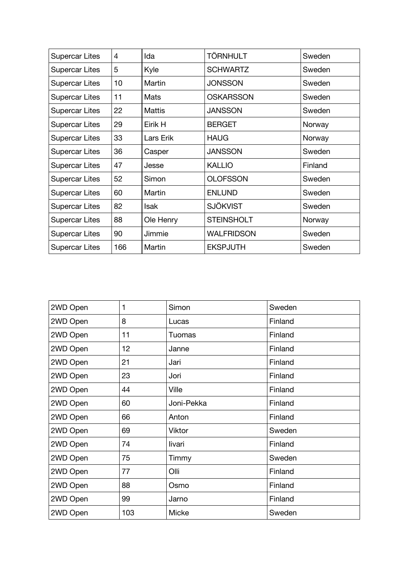| Supercar Lites        | 4   | Ida           | <b>TÖRNHULT</b>   | Sweden  |
|-----------------------|-----|---------------|-------------------|---------|
| Supercar Lites        | 5   | Kyle          | <b>SCHWARTZ</b>   | Sweden  |
| Supercar Lites        | 10  | Martin        | <b>JONSSON</b>    | Sweden  |
| Supercar Lites        | 11  | Mats          | <b>OSKARSSON</b>  | Sweden  |
| Supercar Lites        | 22  | <b>Mattis</b> | <b>JANSSON</b>    | Sweden  |
| Supercar Lites        | 29  | Eirik H       | <b>BERGET</b>     | Norway  |
| Supercar Lites        | 33  | Lars Erik     | <b>HAUG</b>       | Norway  |
| Supercar Lites        | 36  | Casper        | <b>JANSSON</b>    | Sweden  |
| Supercar Lites        | 47  | Jesse         | <b>KALLIO</b>     | Finland |
| <b>Supercar Lites</b> | 52  | Simon         | <b>OLOFSSON</b>   | Sweden  |
| Supercar Lites        | 60  | Martin        | <b>ENLUND</b>     | Sweden  |
| Supercar Lites        | 82  | <b>Isak</b>   | <b>SJÖKVIST</b>   | Sweden  |
| Supercar Lites        | 88  | Ole Henry     | <b>STEINSHOLT</b> | Norway  |
| Supercar Lites        | 90  | Jimmie        | <b>WALFRIDSON</b> | Sweden  |
| Supercar Lites        | 166 | Martin        | <b>EKSPJUTH</b>   | Sweden  |

| 2WD Open | 1   | Simon      | Sweden  |
|----------|-----|------------|---------|
| 2WD Open | 8   | Lucas      | Finland |
| 2WD Open | 11  | Tuomas     | Finland |
| 2WD Open | 12  | Janne      | Finland |
| 2WD Open | 21  | Jari       | Finland |
| 2WD Open | 23  | Jori       | Finland |
| 2WD Open | 44  | Ville      | Finland |
| 2WD Open | 60  | Joni-Pekka | Finland |
| 2WD Open | 66  | Anton      | Finland |
| 2WD Open | 69  | Viktor     | Sweden  |
| 2WD Open | 74  | livari     | Finland |
| 2WD Open | 75  | Timmy      | Sweden  |
| 2WD Open | 77  | Olli       | Finland |
| 2WD Open | 88  | Osmo       | Finland |
| 2WD Open | 99  | Jarno      | Finland |
| 2WD Open | 103 | Micke      | Sweden  |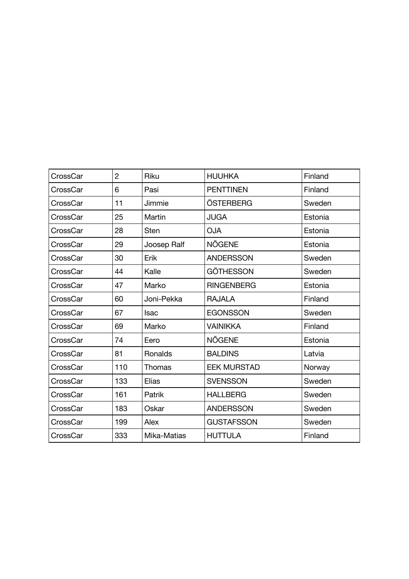| CrossCar | $\overline{c}$ | Riku        | <b>HUUHKA</b>      | Finland |
|----------|----------------|-------------|--------------------|---------|
| CrossCar | 6              | Pasi        | <b>PENTTINEN</b>   | Finland |
| CrossCar | 11             | Jimmie      | ÖSTERBERG          | Sweden  |
| CrossCar | 25             | Martin      | <b>JUGA</b>        | Estonia |
| CrossCar | 28             | <b>Sten</b> | <b>OJA</b>         | Estonia |
| CrossCar | 29             | Joosep Ralf | NÕGENE             | Estonia |
| CrossCar | 30             | Erik        | <b>ANDERSSON</b>   | Sweden  |
| CrossCar | 44             | Kalle       | GÖTHESSON          | Sweden  |
| CrossCar | 47             | Marko       | <b>RINGENBERG</b>  | Estonia |
| CrossCar | 60             | Joni-Pekka  | <b>RAJALA</b>      | Finland |
| CrossCar | 67             | <b>Isac</b> | <b>EGONSSON</b>    | Sweden  |
| CrossCar | 69             | Marko       | <b>VAINIKKA</b>    | Finland |
| CrossCar | 74             | Eero        | <b>NÕGENE</b>      | Estonia |
| CrossCar | 81             | Ronalds     | <b>BALDINS</b>     | Latvia  |
| CrossCar | 110            | Thomas      | <b>EEK MURSTAD</b> | Norway  |
| CrossCar | 133            | Elias       | <b>SVENSSON</b>    | Sweden  |
| CrossCar | 161            | Patrik      | <b>HALLBERG</b>    | Sweden  |
| CrossCar | 183            | Oskar       | <b>ANDERSSON</b>   | Sweden  |
| CrossCar | 199            | Alex        | <b>GUSTAFSSON</b>  | Sweden  |
| CrossCar | 333            | Mika-Matias | <b>HUTTULA</b>     | Finland |